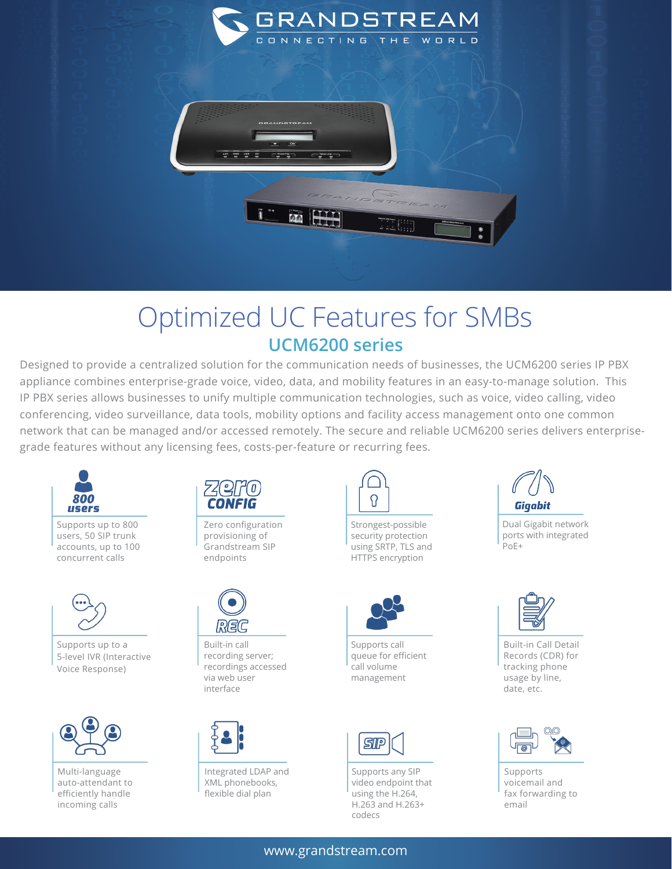

## Optimized UC Features for SMBs **UCM6200 series**

Designed to provide a centralized solution for the communication needs of businesses, the UCM6200 series IP PBX appliance combines enterprise-grade voice, video, data, and mobility features in an easy-to-manage solution. This IP PBX series allows businesses to unify multiple communication technologies, such as voice, video calling, video conferencing, video surveillance, data tools, mobility options and facility access management onto one common network that can be managed and/or accessed remotely. The secure and reliable UCM6200 series delivers enterprisegrade features without any licensing fees, costs-per-feature or recurring fees.



Supports up to 800 users, 50 SIP trunk accounts, up to 100 concurrent calls



Supports up to a 5-level IVR (Interactive Voice Response)



Multi-language auto-attendant to efficiently handle incoming calls



Zero configuration provisioning of Grandstream SIP endpoints



Built-in call recording server; recordings accessed via web user interface



Integrated LDAP and XML phonebooks, flexible dial plan



Strongest-possible security protection using SRTP, TLS and HTTPS encryption



Supports call queue for efficient call volume management



Supports any SIP video endpoint that using the H.264, H.263 and H.263+ codecs



Dual Gigabit network ports with integrated PoE+



Built-in Call Detail Records (CDR) for tracking phone usage by line, date, etc.



Supports voicemail and fax forwarding to email